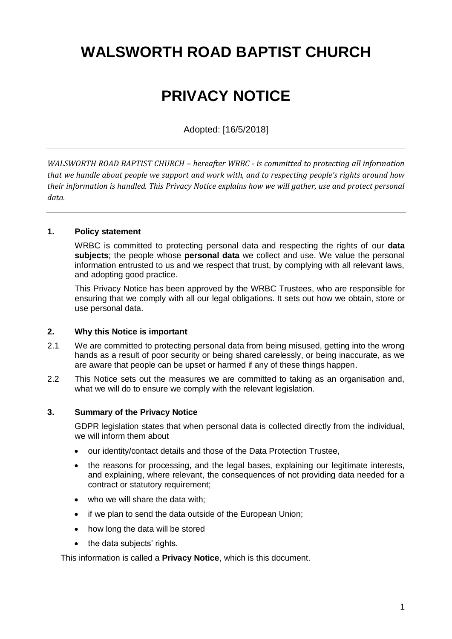# **WALSWORTH ROAD BAPTIST CHURCH**

# **PRIVACY NOTICE**

Adopted: [16/5/2018]

*WALSWORTH ROAD BAPTIST CHURCH – hereafter WRBC - is committed to protecting all information that we handle about people we support and work with, and to respecting people's rights around how their information is handled. This Privacy Notice explains how we will gather, use and protect personal data.*

#### **1. Policy statement**

WRBC is committed to protecting personal data and respecting the rights of our **data subjects**; the people whose **personal data** we collect and use. We value the personal information entrusted to us and we respect that trust, by complying with all relevant laws, and adopting good practice.

This Privacy Notice has been approved by the WRBC Trustees, who are responsible for ensuring that we comply with all our legal obligations. It sets out how we obtain, store or use personal data.

#### **2. Why this Notice is important**

- 2.1 We are committed to protecting personal data from being misused, getting into the wrong hands as a result of poor security or being shared carelessly, or being inaccurate, as we are aware that people can be upset or harmed if any of these things happen.
- 2.2 This Notice sets out the measures we are committed to taking as an organisation and, what we will do to ensure we comply with the relevant legislation.

### **3. Summary of the Privacy Notice**

GDPR legislation states that when personal data is collected directly from the individual, we will inform them about

- our identity/contact details and those of the Data Protection Trustee,
- the reasons for processing, and the legal bases, explaining our legitimate interests, and explaining, where relevant, the consequences of not providing data needed for a contract or statutory requirement;
- who we will share the data with;
- if we plan to send the data outside of the European Union;
- how long the data will be stored
- the data subjects' rights.

This information is called a **Privacy Notice**, which is this document.